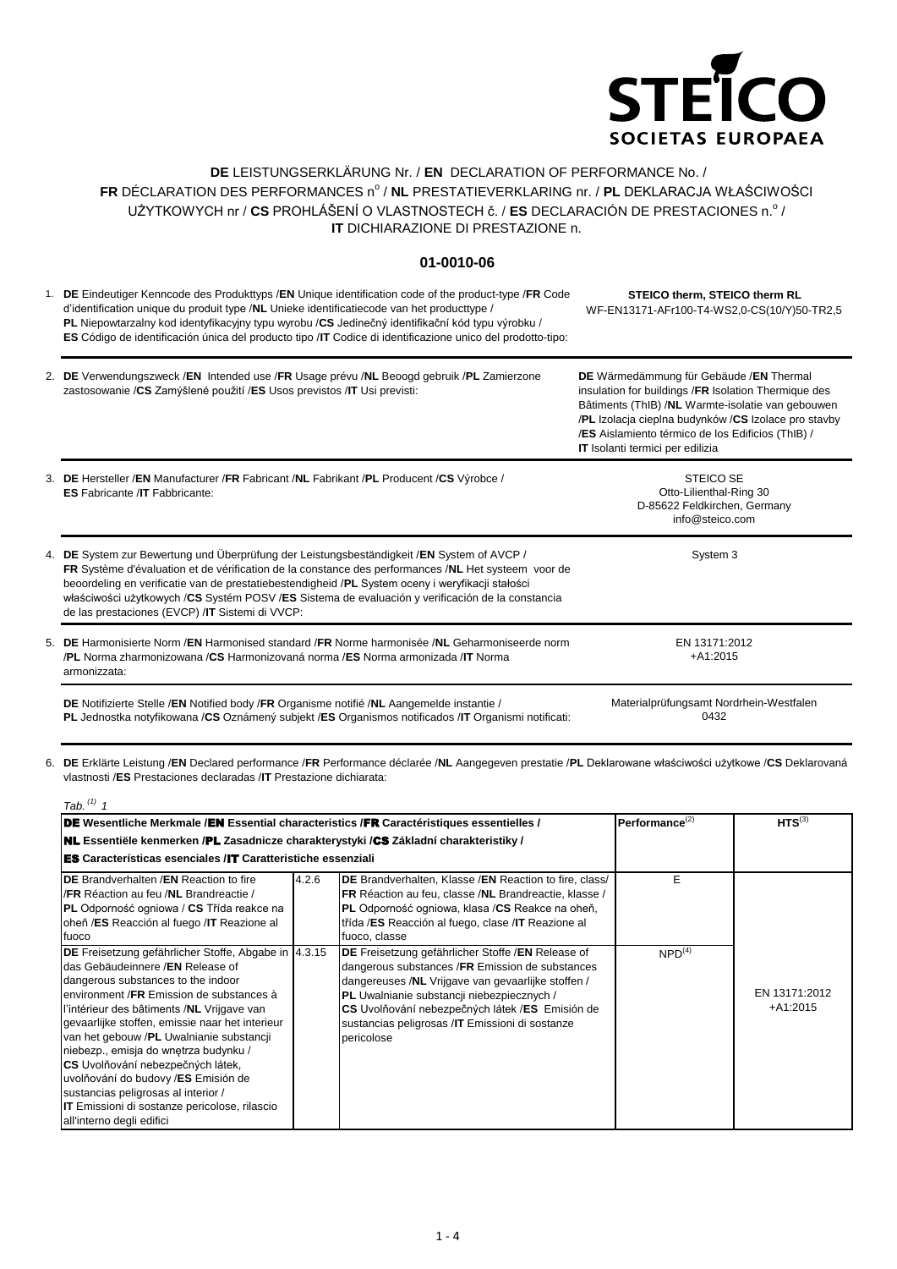

## **DE** LEISTUNGSERKLÄRUNG Nr. / **EN** DECLARATION OF PERFORMANCE No. / FR DÉCLARATION DES PERFORMANCES nº / **NL** PRESTATIEVERKLARING nr. / **PL** DEKLARACJA WŁAŚCIWOŚCI UŻYTKOWYCH nr / CS PROHLÁŠENÍ O VLASTNOSTECH č. / ES DECLARACIÓN DE PRESTACIONES n.º / **IT** DICHIARAZIONE DI PRESTAZIONE n.

## **01-0010-06**

1. **DE** Eindeutiger Kenncode des Produkttyps /**EN** Unique identification code of the product-type /**FR** Code d'identification unique du produit type /**NL** Unieke identificatiecode van het producttype / **PL** Niepowtarzalny kod identyfikacyjny typu wyrobu /**CS** Jedinečný identifikační kód typu výrobku / **ES** Código de identificación única del producto tipo /**IT** Codice di identificazione unico del prodotto-tipo: **STEICO therm, STEICO therm RL** WF-EN13171-AFr100-T4-WS2,0-CS(10/Y)50-TR2,5

| 2. DE Verwendungszweck /EN Intended use /FR Usage prévu /NL Beoogd gebruik /PL Zamierzone | DE Wärmedämmung für Gebäude /EN Thermal                   |
|-------------------------------------------------------------------------------------------|-----------------------------------------------------------|
| zastosowanie / CS Zamýšlené použití / ES Usos previstos / IT Usi previsti:                | insulation for buildings /FR Isolation Thermique des      |
|                                                                                           | Bâtiments (ThIB) / <b>NL</b> Warmte-isolatie van gebouwen |

3. **DE** Hersteller /**EN** Manufacturer /**FR** Fabricant /**NL** Fabrikant /**PL** Producent /**CS** Výrobce / 4. **DE** System zur Bewertung und Überprüfung der Leistungsbeständigkeit /**EN** System of AVCP / 5. **DE** Harmonisierte Norm /**EN** Harmonised standard /**FR** Norme harmonisée /**NL** Geharmoniseerde norm **IT** Isolanti termici per edilizia **ES** Fabricante /**IT** Fabbricante: STEICO SE Otto-Lilienthal-Ring 30 D-85622 Feldkirchen, Germany info@steico.com **FR** Système d'évaluation et de vérification de la constance des performances /**NL** Het systeem voor de beoordeling en verificatie van de prestatiebestendigheid /**PL** System oceny i weryfikacji stałości właściwości użytkowych /**CS** Systém POSV /**ES** Sistema de evaluación y verificación de la constancia de las prestaciones (EVCP) /**IT** Sistemi di VVCP: System 3 /**PL** Norma zharmonizowana /**CS** Harmonizovaná norma /**ES** Norma armonizada /**IT** Norma armonizzata: EN 13171:2012 +A1:2015 **DE** Notifizierte Stelle /**EN** Notified body /**FR** Organisme notifié /**NL** Aangemelde instantie / Materialprüfungsamt Nordrhein-Westfalen

**PL** Jednostka notyfikowana /**CS** Oznámený subjekt /**ES** Organismos notificados /**IT** Organismi notificati:

0432

/**PL** Izolacja cieplna budynków /**CS** Izolace pro stavby /**ES** Aislamiento térmico de los Edificios (ThIB) /

6. **DE** Erklärte Leistung /**EN** Declared performance /**FR** Performance déclarée /**NL** Aangegeven prestatie /**PL** Deklarowane właściwości użytkowe /**CS** Deklarovaná vlastnosti /**ES** Prestaciones declaradas /**IT** Prestazione dichiarata:

| Tab. $(1)$ 1                                                                                                                                                                                                                                                                                                                                                                                                                                                                                                                                                              |                      |                                                                                                                                                                                                                                                                                                                              |                    |                             |
|---------------------------------------------------------------------------------------------------------------------------------------------------------------------------------------------------------------------------------------------------------------------------------------------------------------------------------------------------------------------------------------------------------------------------------------------------------------------------------------------------------------------------------------------------------------------------|----------------------|------------------------------------------------------------------------------------------------------------------------------------------------------------------------------------------------------------------------------------------------------------------------------------------------------------------------------|--------------------|-----------------------------|
| DE Wesentliche Merkmale /EN Essential characteristics /FR Caractéristiques essentielles /                                                                                                                                                                                                                                                                                                                                                                                                                                                                                 | Performance $^{(2)}$ | $HTS^{(3)}$                                                                                                                                                                                                                                                                                                                  |                    |                             |
| <b>NL</b> Essentiële kenmerken /PL Zasadnicze charakterystyki /CS Základní charakteristiky /                                                                                                                                                                                                                                                                                                                                                                                                                                                                              |                      |                                                                                                                                                                                                                                                                                                                              |                    |                             |
| <b>ES</b> Características esenciales /IT Caratteristiche essenziali                                                                                                                                                                                                                                                                                                                                                                                                                                                                                                       |                      |                                                                                                                                                                                                                                                                                                                              |                    |                             |
| <b>IDE</b> Brandverhalten /EN Reaction to fire<br>I/FR Réaction au feu /NL Brandreactie /<br><b>PL</b> Odporność ogniowa / CS Třída reakce na<br>oheň /ES Reacción al fuego /IT Reazione al<br>fuoco                                                                                                                                                                                                                                                                                                                                                                      | 4.2.6                | DE Brandverhalten, Klasse / EN Reaction to fire, class/<br>FR Réaction au feu, classe /NL Brandreactie, klasse /<br>PL Odporność ogniowa, klasa /CS Reakce na oheň,<br>třída /ES Reacción al fuego, clase /IT Reazione al<br>fuoco, classe                                                                                   | E.                 |                             |
| DE Freisetzung gefährlicher Stoffe, Abgabe in  4.3.15<br>das Gebäudeinnere /EN Release of<br>dangerous substances to the indoor<br>environment /FR Emission de substances à<br>l'intérieur des bâtiments /NL Vrijgave van<br>gevaarlijke stoffen, emissie naar het interieur<br>van het gebouw /PL Uwalnianie substancji<br>niebezp., emisja do wnętrza budynku /<br>CS Uvolňování nebezpečných látek,<br>uvolňování do budovy /ES Emisión de<br>sustancias peligrosas al interior /<br><b>IT</b> Emissioni di sostanze pericolose, rilascio<br>all'interno degli edifici |                      | DE Freisetzung gefährlicher Stoffe /EN Release of<br>dangerous substances /FR Emission de substances<br>dangereuses /NL Vrijgave van gevaarlijke stoffen /<br>PL Uwalnianie substancji niebezpiecznych /<br>CS Uvolňování nebezpečných látek /ES Emisión de<br>sustancias peligrosas /IT Emissioni di sostanze<br>pericolose | NPD <sup>(4)</sup> | EN 13171:2012<br>$+A1:2015$ |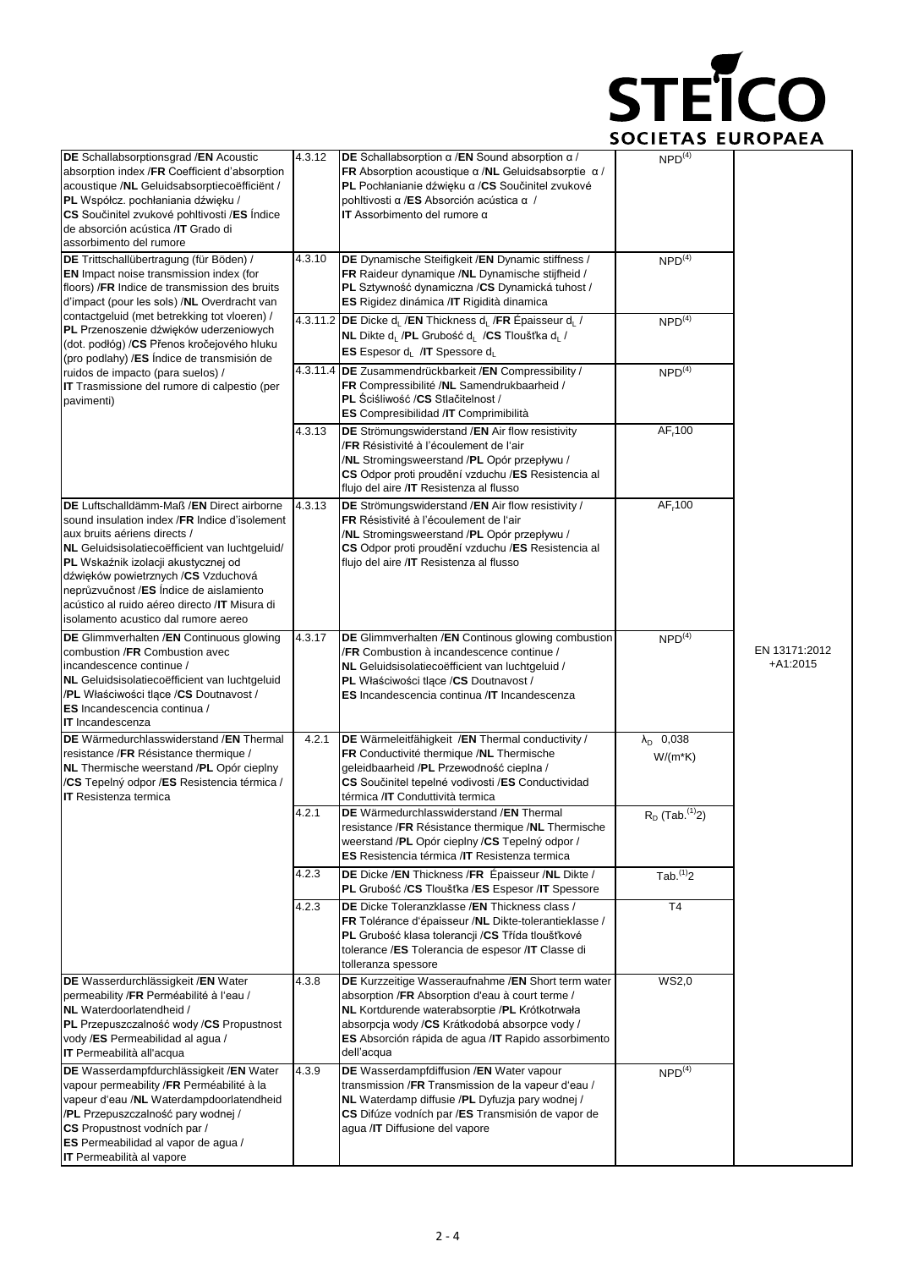

| DE Schallabsorptionsgrad /EN Acoustic<br>4.3.12<br>absorption index /FR Coefficient d'absorption<br>acoustique /NL Geluidsabsorptiecoëfficient /<br>PL Współcz. pochłaniania dźwięku /<br>CS Součinitel zvukové pohltivosti /ES Indice<br>de absorción acústica /IT Grado di<br>assorbimento del rumore                                                                                          |        | DE Schallabsorption $\alpha$ /EN Sound absorption $\alpha$ /<br>FR Absorption acoustique $\alpha$ /NL Geluidsabsorptie $\alpha$ /<br>PL Pochłanianie dźwięku a /CS Součinitel zvukové<br>pohltivosti α/ES Absorción acústica α /<br>IT Assorbimento del rumore $\alpha$        | NPD <sup>(4)</sup>                      |                             |
|--------------------------------------------------------------------------------------------------------------------------------------------------------------------------------------------------------------------------------------------------------------------------------------------------------------------------------------------------------------------------------------------------|--------|--------------------------------------------------------------------------------------------------------------------------------------------------------------------------------------------------------------------------------------------------------------------------------|-----------------------------------------|-----------------------------|
| 4.3.10<br>DE Trittschallübertragung (für Böden) /<br>EN Impact noise transmission index (for<br>floors) / FR Indice de transmission des bruits<br>d'impact (pour les sols) /NL Overdracht van                                                                                                                                                                                                    |        | DE Dynamische Steifigkeit / EN Dynamic stiffness /<br>FR Raideur dynamique /NL Dynamische stijfheid /<br>PL Sztywność dynamiczna /CS Dynamická tuhost /<br>ES Rigidez dinámica / IT Rigidità dinamica                                                                          | $NPD^{(4)}$                             |                             |
| contactgeluid (met betrekking tot vloeren) /<br>PL Przenoszenie dźwięków uderzeniowych<br>(dot. podłóg) / CS Přenos kročejového hluku<br>(pro podlahy) /ES Índice de transmisión de                                                                                                                                                                                                              |        | 4.3.11.2 DE Dicke d <sub>i</sub> /EN Thickness d <sub>i</sub> /FR Épaisseur d <sub>i</sub> /<br>NL Dikte d <sub>i</sub> /PL Grubość d <sub>i</sub> /CS Tloušťka d <sub>i</sub> /<br>ES Espesor d <sub>L</sub> /IT Spessore d <sub>L</sub>                                      | NPD <sup>(4)</sup>                      |                             |
| ruidos de impacto (para suelos) /<br><b>IT</b> Trasmissione del rumore di calpestio (per<br>pavimenti)                                                                                                                                                                                                                                                                                           |        | 4.3.11.4 DE Zusammendrückbarkeit / EN Compressibility /<br>FR Compressibilité /NL Samendrukbaarheid /<br>PL Sciśliwość /CS Stlačitelnost /<br>ES Compresibilidad /IT Comprimibilità                                                                                            | NPD <sup>(4)</sup>                      |                             |
|                                                                                                                                                                                                                                                                                                                                                                                                  | 4.3.13 | DE Strömungswiderstand / EN Air flow resistivity<br>/FR Résistivité à l'écoulement de l'air<br>/NL Stromingsweerstand /PL Opór przepływu /<br>CS Odpor proti proudění vzduchu /ES Resistencia al<br>flujo del aire /IT Resistenza al flusso                                    | AF <sub>r</sub> 100                     |                             |
| DE Luftschalldämm-Maß / EN Direct airborne<br>sound insulation index /FR Indice d'isolement<br>aux bruits aériens directs /<br>NL Geluidsisolatiecoëfficient van luchtgeluid/<br>PL Wskaźnik izolacji akustycznej od<br>dźwięków powietrznych /CS Vzduchová<br>neprůzvučnost /ES Índice de aislamiento<br>acústico al ruido aéreo directo / IT Misura di<br>isolamento acustico dal rumore aereo | 4.3.13 | DE Strömungswiderstand /EN Air flow resistivity /<br>FR Résistivité à l'écoulement de l'air<br>/NL Stromingsweerstand /PL Opór przepływu /<br>CS Odpor proti proudění vzduchu /ES Resistencia al<br>flujo del aire /IT Resistenza al flusso                                    | AF <sub>r</sub> 100                     |                             |
| DE Glimmverhalten /EN Continuous glowing<br>combustion /FR Combustion avec<br>incandescence continue /<br>NL Geluidsisolatiecoëfficient van luchtgeluid<br>/PL Właściwości tlące /CS Doutnavost /<br>ES Incandescencia continua /<br><b>IT</b> Incandescenza                                                                                                                                     | 4.3.17 | <b>DE</b> Glimmverhalten / <b>EN</b> Continous glowing combustion<br>/FR Combustion à incandescence continue /<br>NL Geluidsisolatiecoëfficient van luchtgeluid /<br>PL Właściwości tlące /CS Doutnavost /<br>ES Incandescencia continua / IT Incandescenza                    | NPD <sup>(4)</sup>                      | EN 13171:2012<br>$+A1:2015$ |
| DE Wärmedurchlasswiderstand /EN Thermal<br>resistance /FR Résistance thermique /<br>NL Thermische weerstand /PL Opór cieplny<br>/CS Tepelný odpor /ES Resistencia térmica /<br><b>IT</b> Resistenza termica                                                                                                                                                                                      | 4.2.1  | DE Wärmeleitfähigkeit /EN Thermal conductivity /<br>FR Conductivité thermique /NL Thermische<br>geleidbaarheid /PL Przewodność cieplna /<br>CS Součinitel tepelné vodivosti /ES Conductividad<br>térmica /IT Conduttività termica                                              | $\lambda_{\text{D}}$ 0,038<br>$W/(m*K)$ |                             |
|                                                                                                                                                                                                                                                                                                                                                                                                  | 4.2.1  | <b>DE</b> Wärmedurchlasswiderstand / <b>EN</b> Thermal<br>resistance /FR Résistance thermique /NL Thermische<br>weerstand /PL Opór cieplny /CS Tepelný odpor /<br><b>ES</b> Resistencia térmica / <b>IT</b> Resistenza termica                                                 | $R_D$ (Tab. $(1)$ )                     |                             |
|                                                                                                                                                                                                                                                                                                                                                                                                  | 4.2.3  | DE Dicke / EN Thickness / FR Epaisseur / NL Dikte /<br>PL Grubość /CS Tloušťka /ES Espesor /IT Spessore                                                                                                                                                                        | $Tab.$ <sup>(1)</sup> 2                 |                             |
|                                                                                                                                                                                                                                                                                                                                                                                                  | 4.2.3  | DE Dicke Toleranzklasse / EN Thickness class /<br>FR Tolérance d'épaisseur /NL Dikte-tolerantieklasse /<br>PL Grubość klasa tolerancji / CS Třída tloušťkové<br>tolerance /ES Tolerancia de espesor /IT Classe di<br>tolleranza spessore                                       | T <sub>4</sub>                          |                             |
| DE Wasserdurchlässigkeit /EN Water<br>permeability /FR Perméabilité à l'eau /<br>NL Waterdoorlatendheid /<br>PL Przepuszczalność wody /CS Propustnost<br>vody /ES Permeabilidad al agua /<br><b>IT</b> Permeabilità all'acqua                                                                                                                                                                    | 4.3.8  | DE Kurzzeitige Wasseraufnahme / EN Short term water<br>absorption /FR Absorption d'eau à court terme /<br>NL Kortdurende waterabsorptie /PL Krótkotrwała<br>absorpcja wody /CS Krátkodobá absorpce vody /<br>ES Absorción rápida de agua /IT Rapido assorbimento<br>dell'acqua | WS2,0                                   |                             |
| DE Wasserdampfdurchlässigkeit /EN Water<br>vapour permeability /FR Perméabilité à la<br>vapeur d'eau /NL Waterdampdoorlatendheid<br>/PL Przepuszczalność pary wodnej /<br>CS Propustnost vodních par /<br>ES Permeabilidad al vapor de agua /<br><b>IT</b> Permeabilità al vapore                                                                                                                | 4.3.9  | DE Wasserdampfdiffusion /EN Water vapour<br>transmission / FR Transmission de la vapeur d'eau /<br>NL Waterdamp diffusie /PL Dyfuzja pary wodnej /<br>CS Difúze vodních par /ES Transmisión de vapor de<br>agua /IT Diffusione del vapore                                      | NPD <sup>(4)</sup>                      |                             |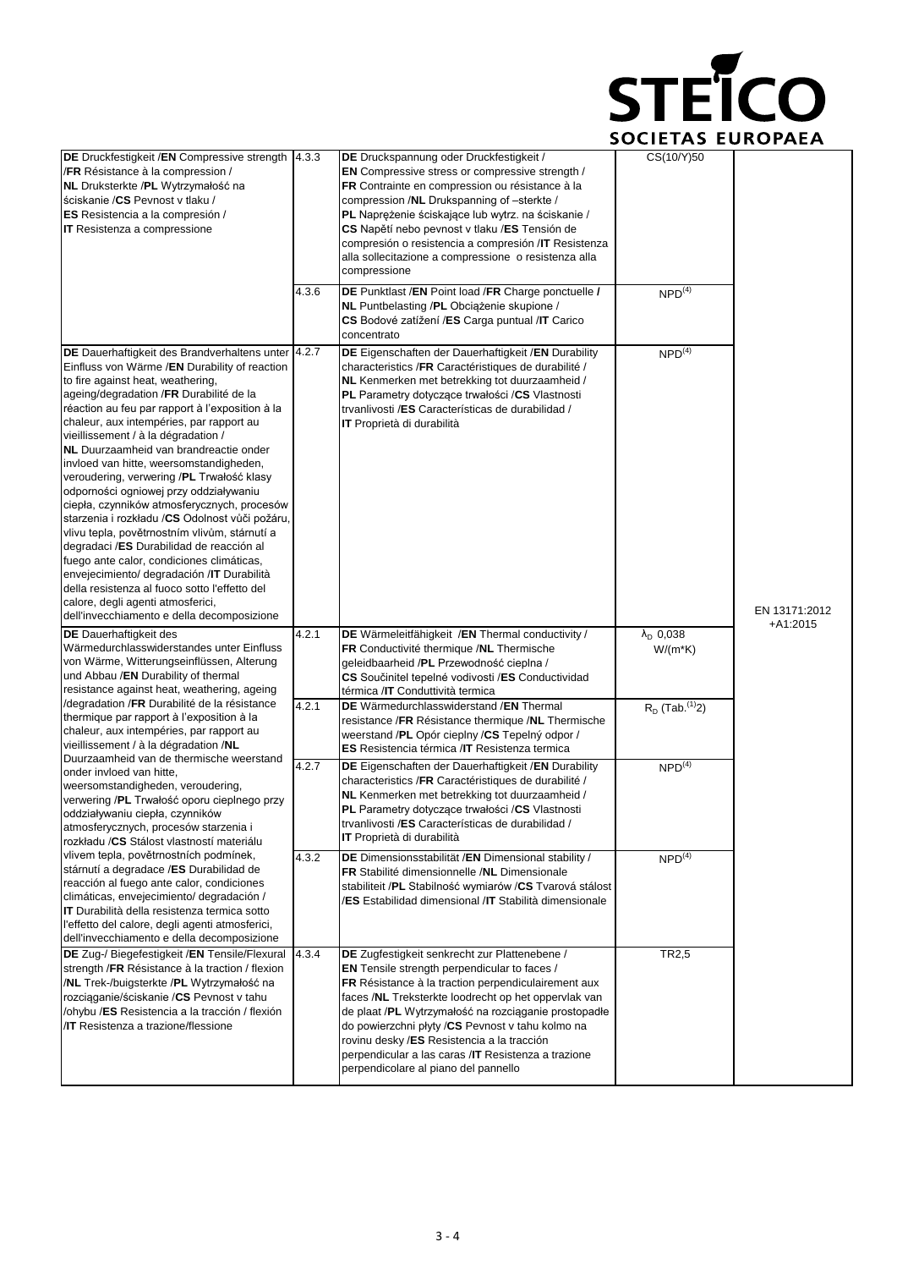

| DE Druckfestigkeit /EN Compressive strength<br>/FR Résistance à la compression /<br>NL Druksterkte /PL Wytrzymałość na<br>ściskanie / CS Pevnost v tlaku /<br>ES Resistencia a la compresión /<br><b>IT</b> Resistenza a compressione                                                                                                                                                                                                                                                                                                                                                                                                                                                                                                                                                                                                                                                                                                     | 4.3.3 | DE Druckspannung oder Druckfestigkeit /<br><b>EN</b> Compressive stress or compressive strength /<br>FR Contrainte en compression ou résistance à la<br>compression /NL Drukspanning of -sterkte /<br>PL Naprężenie ściskające lub wytrz. na ściskanie /<br>CS Napětí nebo pevnost v tlaku /ES Tensión de<br>compresión o resistencia a compresión / IT Resistenza<br>alla sollecitazione a compressione o resistenza alla<br>compressione                                   | CS(10/Y)50                              |                             |
|-------------------------------------------------------------------------------------------------------------------------------------------------------------------------------------------------------------------------------------------------------------------------------------------------------------------------------------------------------------------------------------------------------------------------------------------------------------------------------------------------------------------------------------------------------------------------------------------------------------------------------------------------------------------------------------------------------------------------------------------------------------------------------------------------------------------------------------------------------------------------------------------------------------------------------------------|-------|------------------------------------------------------------------------------------------------------------------------------------------------------------------------------------------------------------------------------------------------------------------------------------------------------------------------------------------------------------------------------------------------------------------------------------------------------------------------------|-----------------------------------------|-----------------------------|
|                                                                                                                                                                                                                                                                                                                                                                                                                                                                                                                                                                                                                                                                                                                                                                                                                                                                                                                                           | 4.3.6 | DE Punktlast /EN Point load /FR Charge ponctuelle /<br>NL Puntbelasting /PL Obciążenie skupione /<br>CS Bodové zatížení /ES Carga puntual /IT Carico<br>concentrato                                                                                                                                                                                                                                                                                                          | NPD <sup>(4)</sup>                      |                             |
| DE Dauerhaftigkeit des Brandverhaltens unter 4.2.7<br>Einfluss von Wärme /EN Durability of reaction<br>to fire against heat, weathering,<br>ageing/degradation /FR Durabilité de la<br>réaction au feu par rapport à l'exposition à la<br>chaleur, aux intempéries, par rapport au<br>vieillissement / à la dégradation /<br><b>NL</b> Duurzaamheid van brandreactie onder<br>invloed van hitte, weersomstandigheden,<br>veroudering, verwering /PL Trwałość klasy<br>odporności ogniowej przy oddziaływaniu<br>ciepła, czynników atmosferycznych, procesów<br>starzenia i rozkładu /CS Odolnost vůči požáru,<br>vlivu tepla, povětrnostním vlivům, stárnutí a<br>degradaci /ES Durabilidad de reacción al<br>fuego ante calor, condiciones climáticas,<br>envejecimiento/ degradación /IT Durabilità<br>della resistenza al fuoco sotto l'effetto del<br>calore, degli agenti atmosferici,<br>dell'invecchiamento e della decomposizione |       | DE Eigenschaften der Dauerhaftigkeit / EN Durability<br>characteristics /FR Caractéristiques de durabilité /<br>NL Kenmerken met betrekking tot duurzaamheid /<br>PL Parametry dotyczące trwałości /CS Vlastnosti<br>trvanlivosti /ES Características de durabilidad /<br>IT Proprietà di durabilità                                                                                                                                                                         | $NPD^{(4)}$                             | EN 13171:2012<br>$+A1:2015$ |
| <b>DE</b> Dauerhaftigkeit des<br>Wärmedurchlasswiderstandes unter Einfluss<br>von Wärme, Witterungseinflüssen, Alterung<br>und Abbau /EN Durability of thermal<br>resistance against heat, weathering, ageing                                                                                                                                                                                                                                                                                                                                                                                                                                                                                                                                                                                                                                                                                                                             | 4.2.1 | DE Wärmeleitfähigkeit /EN Thermal conductivity /<br>FR Conductivité thermique /NL Thermische<br>geleidbaarheid /PL Przewodność cieplna /<br>CS Součinitel tepelné vodivosti /ES Conductividad<br>térmica /IT Conduttività termica                                                                                                                                                                                                                                            | $\lambda_{\text{D}}$ 0,038<br>$W/(m*K)$ |                             |
| /degradation /FR Durabilité de la résistance<br>thermique par rapport à l'exposition à la<br>chaleur, aux intempéries, par rapport au<br>vieillissement / à la dégradation /NL                                                                                                                                                                                                                                                                                                                                                                                                                                                                                                                                                                                                                                                                                                                                                            | 4.2.1 | DE Wärmedurchlasswiderstand / EN Thermal<br>resistance /FR Résistance thermique /NL Thermische<br>weerstand /PL Opór cieplny /CS Tepelný odpor /<br><b>ES</b> Resistencia térmica / <b>IT</b> Resistenza termica                                                                                                                                                                                                                                                             | $R_D$ (Tab. <sup>(1)</sup> 2)           |                             |
| Duurzaamheid van de thermische weerstand<br>onder invloed van hitte,<br>weersomstandigheden, veroudering,<br>verwering /PL Trwałość oporu cieplnego przy<br>oddziaływaniu ciepła, czynników<br>atmosferycznych, procesów starzenia i<br>rozkładu /CS Stálost vlastností materiálu                                                                                                                                                                                                                                                                                                                                                                                                                                                                                                                                                                                                                                                         | 4.2.7 | DE Eigenschaften der Dauerhaftigkeit / EN Durability<br>characteristics /FR Caractéristiques de durabilité /<br>NL Kenmerken met betrekking tot duurzaamheid /<br>PL Parametry dotyczące trwałości /CS Vlastnosti<br>trvanlivosti /ES Características de durabilidad /<br><b>IT</b> Proprietà di durabilità                                                                                                                                                                  | NPD <sup>(4)</sup>                      |                             |
| vlivem tepla, povětrnostních podmínek,<br>stárnutí a degradace /ES Durabilidad de<br>reacción al fuego ante calor, condiciones<br>climáticas, envejecimiento/ degradación /<br><b>IT</b> Durabilità della resistenza termica sotto<br>l'effetto del calore, degli agenti atmosferici,<br>dell'invecchiamento e della decomposizione                                                                                                                                                                                                                                                                                                                                                                                                                                                                                                                                                                                                       | 4.3.2 | DE Dimensionsstabilität / EN Dimensional stability /<br>FR Stabilité dimensionnelle /NL Dimensionale<br>stabiliteit /PL Stabilność wymiarów /CS Tvarová stálost<br>/ES Estabilidad dimensional /IT Stabilità dimensionale                                                                                                                                                                                                                                                    | NPD <sup>(4)</sup>                      |                             |
| DE Zug-/ Biegefestigkeit /EN Tensile/Flexural<br>strength /FR Résistance à la traction / flexion<br>/NL Trek-/buigsterkte /PL Wytrzymałość na<br>rozciąganie/ściskanie /CS Pevnost v tahu<br>/ohybu /ES Resistencia a la tracción / flexión<br><b>IT</b> Resistenza a trazione/flessione                                                                                                                                                                                                                                                                                                                                                                                                                                                                                                                                                                                                                                                  | 4.3.4 | DE Zugfestigkeit senkrecht zur Plattenebene /<br><b>EN</b> Tensile strength perpendicular to faces /<br>FR Résistance à la traction perpendiculairement aux<br>faces /NL Treksterkte loodrecht op het oppervlak van<br>de plaat /PL Wytrzymałość na rozciąganie prostopadłe<br>do powierzchni płyty /CS Pevnost v tahu kolmo na<br>rovinu desky /ES Resistencia a la tracción<br>perpendicular a las caras /IT Resistenza a trazione<br>perpendicolare al piano del pannello | TR <sub>2,5</sub>                       |                             |